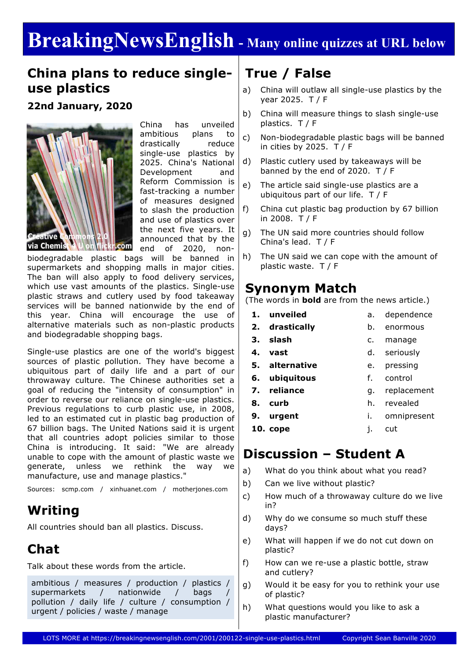# **BreakingNewsEnglish - Many online quizzes at URL below**

#### **China plans to reduce singleuse plastics**

**22nd January, 2020**



China has unveiled ambitious plans to drastically reduce single-use plastics by 2025. China's National Development and Reform Commission is fast-tracking a number of measures designed to slash the production and use of plastics over the next five years. It announced that by the end of 2020, non-

biodegradable plastic bags will be banned in supermarkets and shopping malls in major cities. The ban will also apply to food delivery services, which use vast amounts of the plastics. Single-use plastic straws and cutlery used by food takeaway services will be banned nationwide by the end of this year. China will encourage the use of alternative materials such as non-plastic products and biodegradable shopping bags.

Single-use plastics are one of the world's biggest sources of plastic pollution. They have become a ubiquitous part of daily life and a part of our throwaway culture. The Chinese authorities set a goal of reducing the "intensity of consumption" in order to reverse our reliance on single-use plastics. Previous regulations to curb plastic use, in 2008, led to an estimated cut in plastic bag production of 67 billion bags. The United Nations said it is urgent that all countries adopt policies similar to those China is introducing. It said: "We are already unable to cope with the amount of plastic waste we generate, unless we rethink the way we manufacture, use and manage plastics."

Sources: scmp.com / xinhuanet.com / motherjones.com

### **Writing**

All countries should ban all plastics. Discuss.

## **Chat**

Talk about these words from the article.

ambitious / measures / production / plastics / supermarkets / nationwide / bags pollution / daily life / culture / consumption / urgent / policies / waste / manage

## **True / False**

- a) China will outlaw all single-use plastics by the year 2025. T / F
- b) China will measure things to slash single-use plastics. T / F
- c) Non-biodegradable plastic bags will be banned in cities by 2025.  $T / F$
- d) Plastic cutlery used by takeaways will be banned by the end of 2020. T / F
- e) The article said single-use plastics are a ubiquitous part of our life. T / F
- f) China cut plastic bag production by 67 billion in 2008. T / F
- g) The UN said more countries should follow China's lead. T / F
- h) The UN said we can cope with the amount of plastic waste. T / F

#### **Synonym Match**

(The words in **bold** are from the news article.)

- **1. unveiled 2. drastically 3. slash 4. vast** a. dependence b. enormous c. manage d. seriously
- **5. alternative** e. pressing
- **6. ubiquitous** f. control
- **7. reliance**

**8. curb**

h. revealed

g. replacement

- i. omnipresent
- **9. urgent 10. cope** j. cut

### **Discussion – Student A**

- a) What do you think about what you read?
- b) Can we live without plastic?
- c) How much of a throwaway culture do we live in?
- d) Why do we consume so much stuff these days?
- e) What will happen if we do not cut down on plastic?
- f) How can we re-use a plastic bottle, straw and cutlery?
- g) Would it be easy for you to rethink your use of plastic?
- h) What questions would you like to ask a plastic manufacturer?